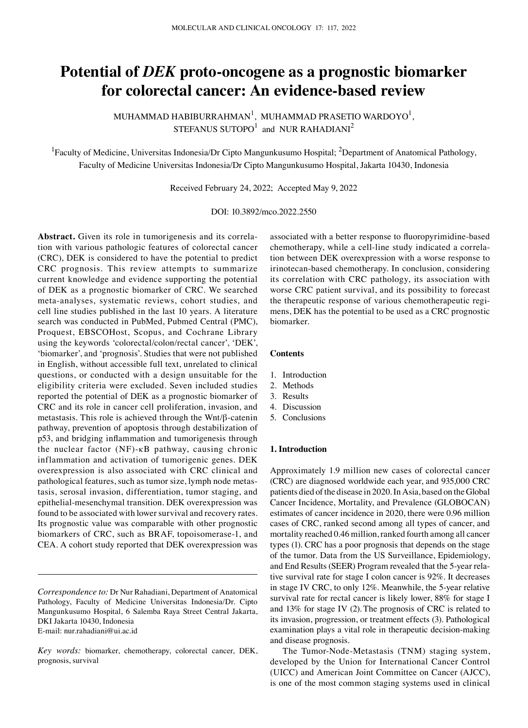# **Potential of** *DEK* **proto‑oncogene as a prognostic biomarker for colorectal cancer: An evidence‑based review**

MUHAMMAD HABIBURRAHMAN $^{\rm l}$ , MUHAMMAD PRASETIO WARDOYO $^{\rm l}$ , STEFANUS  $SUTOPO<sup>1</sup>$  and NUR RAHADIANI<sup>2</sup>

<sup>1</sup> Faculty of Medicine, Universitas Indonesia/Dr Cipto Mangunkusumo Hospital; <sup>2</sup>Department of Anatomical Pathology, Faculty of Medicine Universitas Indonesia/Dr Cipto Mangunkusumo Hospital, Jakarta 10430, Indonesia

Received February 24, 2022; Accepted May 9, 2022

DOI: 10.3892/mco.2022.2550

Abstract. Given its role in tumorigenesis and its correlation with various pathologic features of colorectal cancer (CRC), DEK is considered to have the potential to predict CRC prognosis. This review attempts to summarize current knowledge and evidence supporting the potential of DEK as a prognostic biomarker of CRC. We searched meta‑analyses, systematic reviews, cohort studies, and cell line studies published in the last 10 years. A literature search was conducted in PubMed, Pubmed Central (PMC), Proquest, EBSCOHost, Scopus, and Cochrane Library using the keywords 'colorectal/colon/rectal cancer', 'DEK', 'biomarker', and 'prognosis'. Studies that were not published in English, without accessible full text, unrelated to clinical questions, or conducted with a design unsuitable for the eligibility criteria were excluded. Seven included studies reported the potential of DEK as a prognostic biomarker of CRC and its role in cancer cell proliferation, invasion, and metastasis. This role is achieved through the Wnt/β‑catenin pathway, prevention of apoptosis through destabilization of p53, and bridging inflammation and tumorigenesis through the nuclear factor (NF)‑κB pathway, causing chronic inflammation and activation of tumorigenic genes. DEK overexpression is also associated with CRC clinical and pathological features, such as tumor size, lymph node metastasis, serosal invasion, differentiation, tumor staging, and epithelial‑mesenchymal transition. DEK overexpression was found to be associated with lower survival and recovery rates. Its prognostic value was comparable with other prognostic biomarkers of CRC, such as BRAF, topoisomerase‑1, and CEA. A cohort study reported that DEK overexpression was

associated with a better response to fluoropyrimidine‑based chemotherapy, while a cell-line study indicated a correlation between DEK overexpression with a worse response to irinotecan-based chemotherapy. In conclusion, considering its correlation with CRC pathology, its association with worse CRC patient survival, and its possibility to forecast the therapeutic response of various chemotherapeutic regimens, DEK has the potential to be used as a CRC prognostic biomarker.

#### **Contents**

- 1. Introduction
- 2. Methods
- 3. Results
- 4. Discussion
- 5. Conclusions

# **1. Introduction**

Approximately 1.9 million new cases of colorectal cancer (CRC) are diagnosed worldwide each year, and 935,000 CRC patients died of the disease in 2020. In Asia, based on the Global Cancer Incidence, Mortality, and Prevalence (GLOBOCAN) estimates of cancer incidence in 2020, there were 0.96 million cases of CRC, ranked second among all types of cancer, and mortality reached 0.46 million, ranked fourth among all cancer types (1). CRC has a poor prognosis that depends on the stage of the tumor. Data from the US Surveillance, Epidemiology, and End Results (SEER) Program revealed that the 5-year relative survival rate for stage I colon cancer is 92%. It decreases in stage IV CRC, to only 12%. Meanwhile, the 5‑year relative survival rate for rectal cancer is likely lower, 88% for stage I and 13% for stage IV (2). The prognosis of CRC is related to its invasion, progression, or treatment effects (3). Pathological examination plays a vital role in therapeutic decision-making and disease prognosis.

The Tumor‑Node‑Metastasis (TNM) staging system, developed by the Union for International Cancer Control (UICC) and American Joint Committee on Cancer (AJCC), is one of the most common staging systems used in clinical

*Correspondence to:* Dr Nur Rahadiani, Department of Anatomical Pathology, Faculty of Medicine Universitas Indonesia/Dr. Cipto Mangunkusumo Hospital, 6 Salemba Raya Street Central Jakarta, DKI Jakarta 10430, Indonesia E‑mail: nur.rahadiani@ui.ac.id

*Key words:* biomarker, chemotherapy, colorectal cancer, DEK, prognosis, survival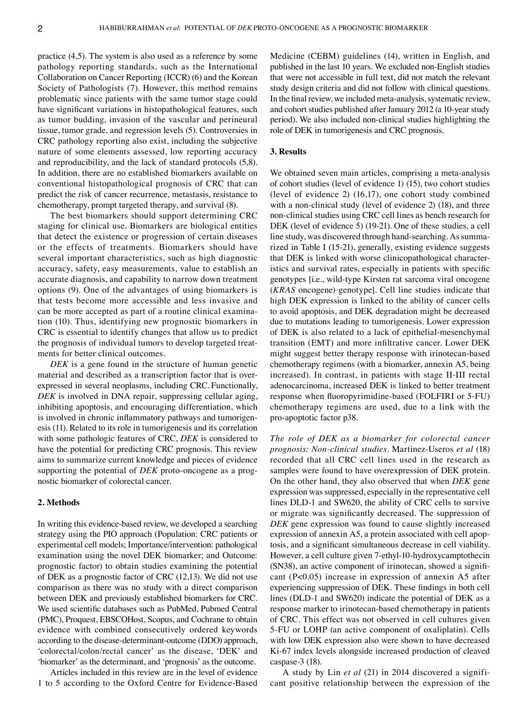practice (4,5). The system is also used as a reference by some pathology reporting standards, such as the International Collaboration on Cancer Reporting (ICCR) (6) and the Korean Society of Pathologists (7). However, this method remains problematic since patients with the same tumor stage could have significant variations in histopathological features, such as tumor budding, invasion of the vascular and perineural tissue, tumor grade, and regression levels (5). Controversies in CRC pathology reporting also exist, including the subjective nature of some elements assessed, low reporting accuracy and reproducibility, and the lack of standard protocols (5,8). In addition, there are no established biomarkers available on conventional histopathological prognosis of CRC that can predict the risk of cancer recurrence, metastasis, resistance to chemotherapy, prompt targeted therapy, and survival (8).

The best biomarkers should support determining CRC staging for clinical use. Biomarkers are biological entities that detect the existence or progression of certain diseases or the effects of treatments. Biomarkers should have several important characteristics, such as high diagnostic accuracy, safety, easy measurements, value to establish an accurate diagnosis, and capability to narrow down treatment options (9). One of the advantages of using biomarkers is that tests become more accessible and less invasive and can be more accepted as part of a routine clinical examination (10). Thus, identifying new prognostic biomarkers in CRC is essential to identify changes that allow us to predict the prognosis of individual tumors to develop targeted treatments for better clinical outcomes.

*DEK* is a gene found in the structure of human genetic material and described as a transcription factor that is overexpressed in several neoplasms, including CRC. Functionally, *DEK* is involved in DNA repair, suppressing cellular aging, inhibiting apoptosis, and encouraging differentiation, which is involved in chronic inflammatory pathways and tumorigenesis (11). Related to its role in tumorigenesis and its correlation with some pathologic features of CRC, *DEK* is considered to have the potential for predicting CRC prognosis. This review aims to summarize current knowledge and pieces of evidence supporting the potential of *DEK* proto-oncogene as a prognostic biomarker of colorectal cancer.

# **2. Methods**

In writing this evidence-based review, we developed a searching strategy using the PIO approach (Population: CRC patients or experimental cell models; Importance/intervention: pathological examination using the novel DEK biomarker; and Outcome: prognostic factor) to obtain studies examining the potential of DEK as a prognostic factor of CRC (12,13). We did not use comparison as there was no study with a direct comparison between DEK and previously established biomarkers for CRC. We used scientific databases such as PubMed, Pubmed Central (PMC), Proquest, EBSCOHost, Scopus, and Cochrane to obtain evidence with combined consecutively ordered keywords according to the disease‑determinant‑outcome (DDO) approach, 'colorectal/colon/rectal cancer' as the disease, 'DEK' and 'biomarker' as the determinant, and 'prognosis' as the outcome.

Articles included in this review are in the level of evidence 1 to 5 according to the Oxford Centre for Evidence‑Based Medicine (CEBM) guidelines (14), written in English, and published in the last 10 years. We excluded non‑English studies that were not accessible in full text, did not match the relevant study design criteria and did not follow with clinical questions. In the final review, we included meta‑analysis, systematic review, and cohort studies published after January 2012 (a 10‑year study period). We also included non‑clinical studies highlighting the role of DEK in tumorigenesis and CRC prognosis.

# **3. Results**

We obtained seven main articles, comprising a meta-analysis of cohort studies (level of evidence 1) (15), two cohort studies (level of evidence 2) (16,17), one cohort study combined with a non-clinical study (level of evidence 2) (18), and three non‑clinical studies using CRC cell lines as bench research for DEK (level of evidence 5) (19‑21). One of these studies, a cell line study, was discovered through hand-searching. As summarized in Table I (15‑21), generally, existing evidence suggests that DEK is linked with worse clinicopathological characteristics and survival rates, especially in patients with specific genotypes [i.e., wild‑type Kirsten rat sarcoma viral oncogene (*KRAS* oncogene) genotype]. Cell line studies indicate that high DEK expression is linked to the ability of cancer cells to avoid apoptosis, and DEK degradation might be decreased due to mutations leading to tumorigenesis. Lower expression of DEK is also related to a lack of epithelial-mesenchymal transition (EMT) and more infiltrative cancer. Lower DEK might suggest better therapy response with irinotecan-based chemotherapy regimens (with a biomarker, annexin A5, being increased). In contrast, in patients with stage II‑III rectal adenocarcinoma, increased DEK is linked to better treatment response when fluoropyrimidine‑based (FOLFIRI or 5‑FU) chemotherapy regimens are used, due to a link with the pro‑apoptotic factor p38.

*The role of DEK as a biomarker for colorectal cancer prognosis: Non‑clinical studies.* Martinez‑Useros *et al* (18) recorded that all CRC cell lines used in the research as samples were found to have overexpression of DEK protein. On the other hand, they also observed that when *DEK* gene expression was suppressed, especially in the representative cell lines DLD‑1 and SW620, the ability of CRC cells to survive or migrate was significantly decreased. The suppression of *DEK* gene expression was found to cause slightly increased expression of annexin A5, a protein associated with cell apoptosis, and a significant simultaneous decrease in cell viability. However, a cell culture given 7-ethyl-10-hydroxycamptothecin (SN38), an active component of irinotecan, showed a significant (P<0.05) increase in expression of annexin A5 after experiencing suppression of DEK. These findings in both cell lines (DLD-1 and SW620) indicate the potential of DEK as a response marker to irinotecan-based chemotherapy in patients of CRC. This effect was not observed in cell cultures given 5‑FU or LOHP (an active component of oxaliplatin). Cells with low DEK expression also were shown to have decreased Ki-67 index levels alongside increased production of cleaved caspase-3 (18).

A study by Lin *et al* (21) in 2014 discovered a signifi‑ cant positive relationship between the expression of the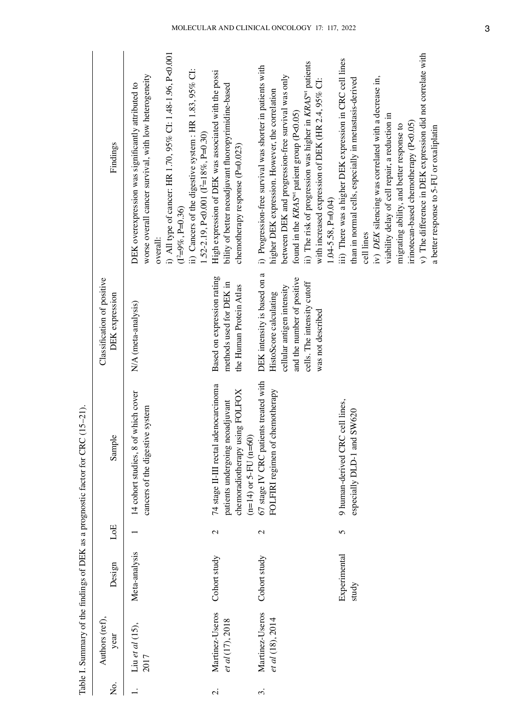|                     |                                        |                       |               | Table I. Summary of the findings of DEK as a prognostic factor for CRC (15-21).                                                                  |                                                                                                                                                                       |                                                                                                                                                                                                                                                                                                                                                                                                                                             |
|---------------------|----------------------------------------|-----------------------|---------------|--------------------------------------------------------------------------------------------------------------------------------------------------|-----------------------------------------------------------------------------------------------------------------------------------------------------------------------|---------------------------------------------------------------------------------------------------------------------------------------------------------------------------------------------------------------------------------------------------------------------------------------------------------------------------------------------------------------------------------------------------------------------------------------------|
| Σ.                  | Authors (ref),<br>year                 | Design                | LoE           | Sample                                                                                                                                           | Classification of positive<br>DEK expression                                                                                                                          | Findings                                                                                                                                                                                                                                                                                                                                                                                                                                    |
|                     | Liu et al $(15)$ ,<br>2017             | Meta-analysis         |               | of which cover<br>cancers of the digestive system<br>14 cohort studies, 8                                                                        | N/A (meta-analysis)                                                                                                                                                   | i) All type of cancer: HR 1.70, 95% CI: 1.48-1.96, P<0.001<br>ii) Cancers of the digestive system : HR 1.83, 95% CI:<br>worse overall cancer survival, with low heterogeneity<br>DEK overexpression was significantly attributed to<br>1.52-2.19, P<0.001 $(I^2=18\%$ , P=0.30)<br>$(1^2=9\%, P=0.36)$<br>overall:                                                                                                                          |
| $\dot{\mathbf{c}}$  | Martinez-Useros<br>et al (17), 2018    | Cohort study          | $\mathbf{C}$  | adenocarcinoma<br>using FOLFOX<br>neoadjuvant<br>$(n=14)$ or 5-FU $(n=60)$<br>74 stage II-III rectal<br>patients undergoing<br>chemoradiotherapy | Based on expression rating<br>methods used for DEK in<br>the Human Protein Atlas                                                                                      | High expression of DEK was associated with the possi<br>bility of better neoadjuvant fluoropyrimidine-based<br>chemotherapy response (P=0.023)                                                                                                                                                                                                                                                                                              |
| $\dot{\mathcal{E}}$ | Martinez-Useros<br>et al $(18)$ , 2014 | Cohort study          | $\mathcal{C}$ | 67 stage IV CRC patients treated with<br>FOLFIRI regimen of chemotherapy                                                                         | DEK intensity is based on a<br>and the number of positive<br>cells. The intensity cutoff<br>cellular antigen intensity<br>HistoScore calculating<br>was not described | ii) The risk of progression was higher in KRAS <sup>wt</sup> patients<br>i) Progression-free survival was shorter in patients with<br>between DEK and progression-free survival was only<br>with increased expression of DEK (HR 2.4, 95% CI:<br>higher DEK expression. However, the correlation<br>found in the KRAS <sup>or</sup> patient group (P<0.05)<br>$1.04 - 5.58$ , $P = 0.04$ )                                                  |
|                     |                                        | Experimental<br>study | 5             | 9 human-derived CRC cell lines,<br>especially DLD-1 and SW620                                                                                    |                                                                                                                                                                       | v) The difference in DEK expression did not correlate with<br>iii) There was a higher DEK expression in CRC cell lines<br>iv) DEK silencing was correlated with a decrease in,<br>than in normal cells, especially in metastasis-derived<br>viability delay of cell repair, a reduction in<br>irinotecan-based chemotherapy (P<0.05)<br>migrating ability, and better response to<br>a better response to 5-FU or oxaliplatin<br>cell lines |

Table I. Summary of the findings of DEK as a prognostic factor for CRC (15–21).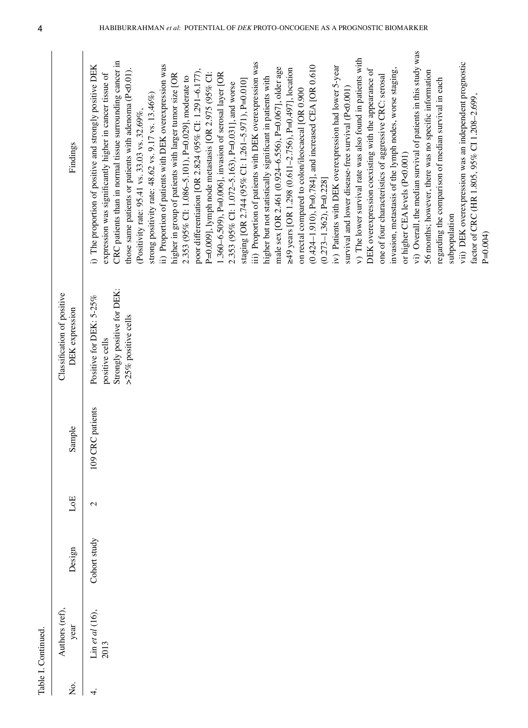| Findings<br>or higher CEA levels (P<0.001)<br>$(0.273 - 1.362)$ , P=0.228]<br>Strongly positive for DEK:<br>Classification of positive<br>Positive for DEK: 5-25%<br>DEK expression<br>>25% positive cells<br>positive cells<br>109 CRC patients<br>Sample<br>LoE<br>$\mathbf{C}$<br>Cohort study<br>Design<br>Authors (ref),<br>$\lim$ et al (16),<br>year<br>2013<br>δ. | Table I. Continued |  |  |                                                                                                                                                                                                                                                                                                                                                                                                                                                                                                                                                                                                                                                                                                                                                                                                                                                                                                                                                                                                                                                                                                                                                                                                                                                                                                                                                                                                                                                                                                                                                                                                                                                                                                                                                                                                                         |
|---------------------------------------------------------------------------------------------------------------------------------------------------------------------------------------------------------------------------------------------------------------------------------------------------------------------------------------------------------------------------|--------------------|--|--|-------------------------------------------------------------------------------------------------------------------------------------------------------------------------------------------------------------------------------------------------------------------------------------------------------------------------------------------------------------------------------------------------------------------------------------------------------------------------------------------------------------------------------------------------------------------------------------------------------------------------------------------------------------------------------------------------------------------------------------------------------------------------------------------------------------------------------------------------------------------------------------------------------------------------------------------------------------------------------------------------------------------------------------------------------------------------------------------------------------------------------------------------------------------------------------------------------------------------------------------------------------------------------------------------------------------------------------------------------------------------------------------------------------------------------------------------------------------------------------------------------------------------------------------------------------------------------------------------------------------------------------------------------------------------------------------------------------------------------------------------------------------------------------------------------------------------|
| ↽                                                                                                                                                                                                                                                                                                                                                                         |                    |  |  |                                                                                                                                                                                                                                                                                                                                                                                                                                                                                                                                                                                                                                                                                                                                                                                                                                                                                                                                                                                                                                                                                                                                                                                                                                                                                                                                                                                                                                                                                                                                                                                                                                                                                                                                                                                                                         |
| subpopulation<br>$P=0.004$                                                                                                                                                                                                                                                                                                                                                |                    |  |  | vi) Overall, the median survival of patients in this study was<br>v) The lower survival rate was also found in patients with<br>$CRC$ patients than in normal tissue surrounding cancer in<br>vii) DEK overexpression was an independent prognostic<br>iii) Proportion of patients with DEK overexpression was<br>ii) Proportion of patients with DEK overexpression was<br>(0.424-1.910), P=0.784], and increased CEA [OR 0.610<br>i) The proportion of positive and strongly positive DEK<br>iv) Patients with DEK overexpression had lower 5-year<br>male sex [OR 2.461 (0.924-6.556), P=0.067], older age<br>invasion, metastasis of the lymph nodes, worse staging,<br>≥49 years [OR 1.298 (0.611-2.756), P=0.497], location<br>DEK overexpression coexisting with the appearance of<br>those same patients or patients with adenoma (P<0.01).<br>poor differentiation [OR 2.824 (95% CI: 1.291-6.177),<br>56 months; however, there was no specific information<br>P=0.009], lymph node metastasis [OR 2.975 (95% CI:<br>1.360–6.509), P=0.006], invasion of serosal layer [OR<br>expression was significantly higher in cancer tissue of<br>higher in group of patients with larger tumor size [OR<br>one of four characteristics of aggressive CRC: serosal<br>2.353 (95% CI: 1.086-5.101), P=0.029], moderate to<br>higher but not statistically significant in patients with<br>regarding the comparison of median survival in each<br>staging [OR 2.744 (95% CI: 1.261-5.971), P=0.010]<br>2.353 (95% CI: 1.072-5.163), P=0.031], and worse<br>survival and lower disease-free survival (P<0.001)<br>on rectal compared to colon/ileocaecal [OR 0.900<br>strong positivity rate: 48.62 vs. 9.17 vs. 13.46%)<br>factor of CRC (HR 1.805, 95% CI 1.208-2.699,<br>(Positivity rate: 95.41 vs. 33.03 vs. 32.69%, |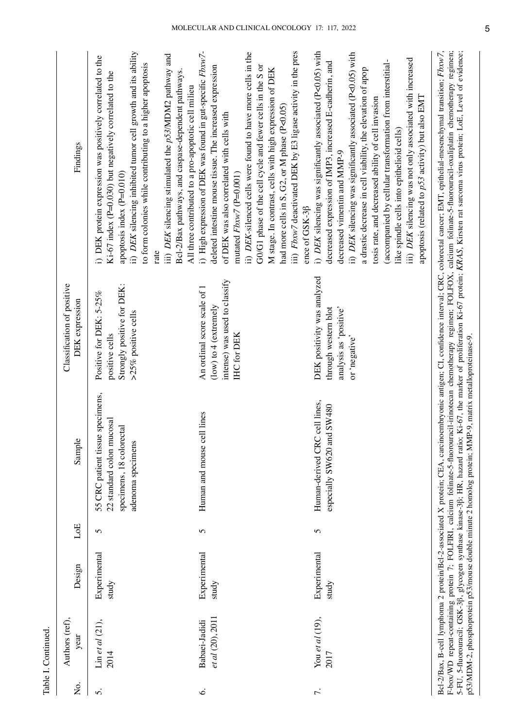| Σó. | Authors (ref),<br>year            | Design                | $_{\rm LoE}$ | Sample                                                                                                         | Classification of positive<br><b>DEK</b> expression                                                           | Findings                                                                                                                                                                                                                                                                                                                                                                                                                                                                                                                                                                                        |
|-----|-----------------------------------|-----------------------|--------------|----------------------------------------------------------------------------------------------------------------|---------------------------------------------------------------------------------------------------------------|-------------------------------------------------------------------------------------------------------------------------------------------------------------------------------------------------------------------------------------------------------------------------------------------------------------------------------------------------------------------------------------------------------------------------------------------------------------------------------------------------------------------------------------------------------------------------------------------------|
| 5.  | Lin et al $(21)$ ,<br>2014        | Experimental<br>study | 5            | 55 CRC patient tissue specimens,<br>22 standard colon mucosal<br>specimens, 18 colorectal<br>adenoma specimens | Strongly positive for DEK:<br>Positive for DEK: 5-25%<br>>25% positive cells<br>positive cells                | ii) DEK silencing inhibited tumor cell growth and its ability<br>iii) DEK silencing stimulated the p53/MDM2 pathway and<br>i) DEK protein expression was positively correlated to the<br>to form colonies while contributing to a higher apoptosis<br>Bcl-2/Bax pathways, and caspase-dependent pathways<br>Ki-67 index (P=0.030) but negatively correlated to the<br>All three contributed to a pro-apoptotic cell milieu<br>apoptosis index (P=0.010)<br>rate                                                                                                                                 |
| Ġ.  | et al (20), 2011<br>Babaei-Jadidi | Experimental<br>study | 5            | cell lines<br>Human and mouse                                                                                  | intense) was used to classify<br>An ordinal score scale of 1<br>(low) to $4$ (extremely<br><b>IHC</b> for DEK | iii) Fbxw7 deactivated DEK by E3 ligase activity in the pres<br>i) High expression of DEK was found in gut-specific Fbxw7-<br>ii) DEX-silenced cells were found to have more cells in the<br>GO/G1 phase of the cell cycle and fewer cells in the S or<br>deleted intestine mouse tissue. The increased expression<br>M stage. In contrast, cells with high expression of DEK<br>had more cells in S, G2, or M phase (P<0.05)<br>of DEK was also correlated with cells with<br>mutated $Fb x w 7$ (P=0.001)<br>ence of GSK-3ß                                                                   |
| 7.  | You et al $(19)$ ,<br>2017        | Experimental<br>study | 5            | Human-derived CRC cell lines,<br>especially SW620 and SW480                                                    | DEK positivity was analyzed<br>analysis as 'positive'<br>through western blot<br>or 'negative'                | i) DEK silencing was significantly associated (P<0.05) with<br>ii) DEK silencing was significantly associated (P<0.05) with<br>iii) DEK silencing was not only associated with increased<br>(accompanied by cellular transformation from interstitial-<br>decreased expression of IMP3, increased E-cadherin, and<br>a drastic decrease in cell viability, the elevation of apop<br>apoptosis (related to p53 activity) but also EMT<br>tosis rate, and decreased ability of cell invasion<br>like spindle cells into epithelioid cells)<br>decreased vimentin and MMP-9                        |
|     |                                   |                       |              | p53/MDM-2, phosphoprotein p53/mouse double minute 2 homolog protein; MMP-9, matrix metalloproteinase-9.        |                                                                                                               | Bcl-2/Bax, B-cell lymphoma 2 protein/Bcl-2-associated X protein; CEA, carcinoembryonic antigen; CI, confidence interval; CRC, colorectal cancer; EMT, epithelial-mesenchymal transition; Fbxw7,<br>F-box/WD repeat-containing protein 7; FOLFIRI, calcium folinate-5-fluorouracil-irinotecan chemotherapy regimen; FOLFOX, calcium folinate-5-fluorouracil-oxaliplatin chemotherapy regimen;<br>5-FU, 5-fluorouracil; GSK-3ß, glycogen synthase kinase-3ß; HR, hazard ratio; Ki-67, the marker of proliferation Ki-67 protein; KRAS, Kirsten rat sarcoma virus protein; LoE, Level of evidence; |

Table I. Continued.

Table I. Continued.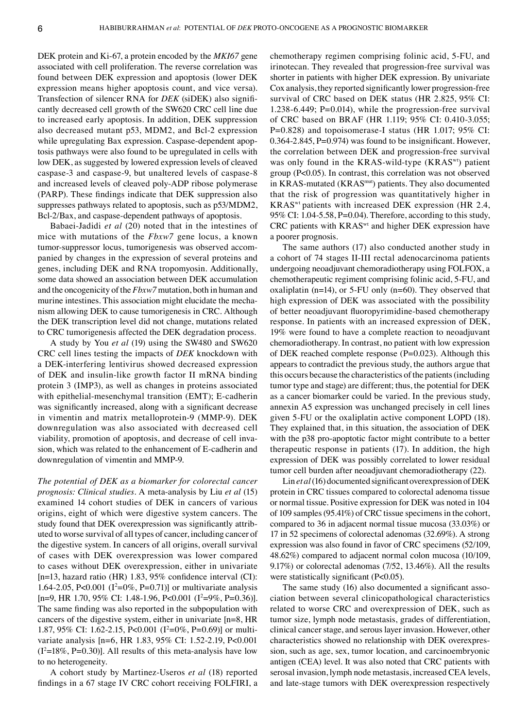DEK protein and Ki‑67, a protein encoded by the *MKI67* gene associated with cell proliferation. The reverse correlation was found between DEK expression and apoptosis (lower DEK expression means higher apoptosis count, and vice versa). Transfection of silencer RNA for *DEK* (siDEK) also significantly decreased cell growth of the SW620 CRC cell line due to increased early apoptosis. In addition, DEK suppression also decreased mutant p53, MDM2, and Bcl-2 expression while upregulating Bax expression. Caspase-dependent apoptosis pathways were also found to be upregulated in cells with low DEK, as suggested by lowered expression levels of cleaved caspase‑3 and caspase‑9, but unaltered levels of caspase‑8 and increased levels of cleaved poly‑ADP ribose polymerase (PARP). These findings indicate that DEK suppression also suppresses pathways related to apoptosis, such as p53/MDM2, Bcl-2/Bax, and caspase-dependent pathways of apoptosis.

Babaei‑Jadidi *et al* (20) noted that in the intestines of mice with mutations of the *Fbxw7* gene locus, a known tumor-suppressor locus, tumorigenesis was observed accompanied by changes in the expression of several proteins and genes, including DEK and RNA tropomyosin. Additionally, some data showed an association between DEK accumulation and the oncogenicity of the *Fbxw7* mutation, both in human and murine intestines. This association might elucidate the mechanism allowing DEK to cause tumorigenesis in CRC. Although the DEK transcription level did not change, mutations related to CRC tumorigenesis affected the DEK degradation process.

A study by You *et al* (19) using the SW480 and SW620 CRC cell lines testing the impacts of *DEK* knockdown with a DEK‑interfering lentivirus showed decreased expression of DEK and insulin‑like growth factor II mRNA binding protein 3 (IMP3), as well as changes in proteins associated with epithelial-mesenchymal transition (EMT); E-cadherin was significantly increased, along with a significant decrease in vimentin and matrix metalloprotein-9 (MMP-9). DEK downregulation was also associated with decreased cell viability, promotion of apoptosis, and decrease of cell invasion, which was related to the enhancement of E‑cadherin and downregulation of vimentin and MMP‑9.

*The potential of DEK as a biomarker for colorectal cancer prognosis: Clinical studies.* A meta‑analysis by Liu *et al* (15) examined 14 cohort studies of DEK in cancers of various origins, eight of which were digestive system cancers. The study found that DEK overexpression was significantly attributed to worse survival of all types of cancer, including cancer of the digestive system. In cancers of all origins, overall survival of cases with DEK overexpression was lower compared to cases without DEK overexpression, either in univariate [n=13, hazard ratio (HR) 1.83, 95% confidence interval (CI): 1.64-2.05, P<0.001 ( $I^2=0\%$ , P=0.71)] or multivariate analysis  $[n=9, HR\ 1.70, 95\% \ CI: 1.48-1.96, P<0.001 (I<sup>2</sup>=9%, P=0.36)].$ The same finding was also reported in the subpopulation with cancers of the digestive system, either in univariate [n=8, HR 1.87, 95% CI: 1.62-2.15, P<0.001 (I<sup>2</sup>=0%, P=0.69)] or multivariate analysis [n=6, HR 1.83, 95% CI: 1.52‑2.19, P<0.001  $(I^2=18\%, P=0.30)$ ]. All results of this meta-analysis have low to no heterogeneity.

A cohort study by Martinez‑Useros *et al* (18) reported findings in a 67 stage IV CRC cohort receiving FOLFIRI, a

chemotherapy regimen comprising folinic acid, 5‑FU, and irinotecan. They revealed that progression-free survival was shorter in patients with higher DEK expression. By univariate Cox analysis, they reported significantly lower progression-free survival of CRC based on DEK status (HR 2.825, 95% CI: 1.238‑6.449; P=0.014), while the progression‑free survival of CRC based on BRAF (HR 1.119; 95% CI: 0.410‑3.055; P=0.828) and topoisomerase-I status (HR 1.017; 95% CI: 0.364-2.845, P=0.974) was found to be insignificant. However, the correlation between DEK and progression-free survival was only found in the KRAS-wild-type (KRAS<sup>wt</sup>) patient group (P<0.05). In contrast, this correlation was not observed in KRAS-mutated (KRAS<sup>mut</sup>) patients. They also documented that the risk of progression was quantitatively higher in KRASwt patients with increased DEK expression (HR 2.4, 95% CI:  $1.04 - 5.58$ , P=0.04). Therefore, according to this study, CRC patients with KRAS<sup>wt</sup> and higher DEK expression have a poorer prognosis.

The same authors (17) also conducted another study in a cohort of 74 stages II‑III rectal adenocarcinoma patients undergoing neoadjuvant chemoradiotherapy using FOLFOX, a chemotherapeutic regiment comprising folinic acid, 5‑FU, and oxaliplatin ( $n=14$ ), or 5-FU only ( $n=60$ ). They observed that high expression of DEK was associated with the possibility of better neoadjuvant fluoropyrimidine‑based chemotherapy response. In patients with an increased expression of DEK, 19% were found to have a complete reaction to neoadjuvant chemoradiotherapy. In contrast, no patient with low expression of DEK reached complete response  $(P=0.023)$ . Although this appears to contradict the previous study, the authors argue that this occurs because the characteristics of the patients (including tumor type and stage) are different; thus, the potential for DEK as a cancer biomarker could be varied. In the previous study, annexin A5 expression was unchanged precisely in cell lines given 5‑FU or the oxaliplatin active component LOPD (18). They explained that, in this situation, the association of DEK with the p38 pro-apoptotic factor might contribute to a better therapeutic response in patients (17). In addition, the high expression of DEK was possibly correlated to lower residual tumor cell burden after neoadjuvant chemoradiotherapy (22).

Lin *et al*(16) documented significant overexpression of DEK protein in CRC tissues compared to colorectal adenoma tissue or normal tissue. Positive expression for DEK was noted in 104 of 109 samples (95.41%) of CRC tissue specimens in the cohort, compared to 36 in adjacent normal tissue mucosa (33.03%) or 17 in 52 specimens of colorectal adenomas (32.69%). A strong expression was also found in favor of CRC specimens (52/109, 48.62%) compared to adjacent normal colon mucosa (10/109, 9.17%) or colorectal adenomas (7/52, 13.46%). All the results were statistically significant (P<0.05).

The same study (16) also documented a significant association between several clinicopathological characteristics related to worse CRC and overexpression of DEK, such as tumor size, lymph node metastasis, grades of differentiation, clinical cancer stage, and serous layer invasion. However, other characteristics showed no relationship with DEK overexpression, such as age, sex, tumor location, and carcinoembryonic antigen (CEA) level. It was also noted that CRC patients with serosal invasion, lymph node metastasis, increased CEA levels, and late‑stage tumors with DEK overexpression respectively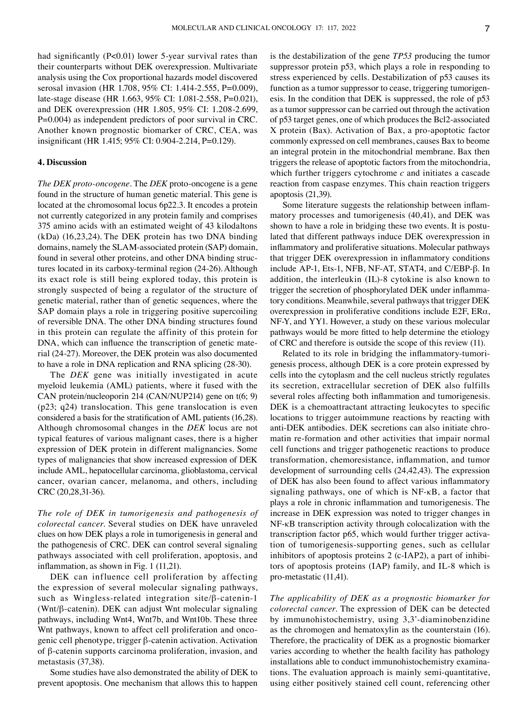had significantly (P<0.01) lower 5-year survival rates than their counterparts without DEK overexpression. Multivariate analysis using the Cox proportional hazards model discovered serosal invasion (HR 1.708, 95% CI: 1.414-2.555, P=0.009), late-stage disease (HR 1.663, 95% CI: 1.081-2.558, P=0.021), and DEK overexpression (HR 1.805, 95% CI: 1.208‑2.699, P=0.004) as independent predictors of poor survival in CRC. Another known prognostic biomarker of CRC, CEA, was insignificant (HR 1.415; 95% CI: 0.904‑2.214, P=0.129).

#### **4. Discussion**

*The DEK proto‑oncogene.* The *DEK* proto‑oncogene is a gene found in the structure of human genetic material. This gene is located at the chromosomal locus 6p22.3. It encodes a protein not currently categorized in any protein family and comprises 375 amino acids with an estimated weight of 43 kilodaltons (kDa) (16,23,24). The DEK protein has two DNA binding domains, namely the SLAM‑associated protein (SAP) domain, found in several other proteins, and other DNA binding structures located in its carboxy-terminal region (24-26). Although its exact role is still being explored today, this protein is strongly suspected of being a regulator of the structure of genetic material, rather than of genetic sequences, where the SAP domain plays a role in triggering positive supercoiling of reversible DNA. The other DNA binding structures found in this protein can regulate the affinity of this protein for DNA, which can influence the transcription of genetic material (24‑27). Moreover, the DEK protein was also documented to have a role in DNA replication and RNA splicing (28‑30).

The *DEK* gene was initially investigated in acute myeloid leukemia (AML) patients, where it fused with the CAN protein/nucleoporin 214 (CAN/NUP214) gene on t(6; 9) (p23; q24) translocation. This gene translocation is even considered a basis for the stratification of AML patients (16,28). Although chromosomal changes in the *DEK* locus are not typical features of various malignant cases, there is a higher expression of DEK protein in different malignancies. Some types of malignancies that show increased expression of DEK include AML, hepatocellular carcinoma, glioblastoma, cervical cancer, ovarian cancer, melanoma, and others, including CRC (20,28,31‑36).

*The role of DEK in tumorigenesis and pathogenesis of colorectal cancer.* Several studies on DEK have unraveled clues on how DEK plays a role in tumorigenesis in general and the pathogenesis of CRC. DEK can control several signaling pathways associated with cell proliferation, apoptosis, and inflammation, as shown in Fig. 1 (11,21).

DEK can influence cell proliferation by affecting the expression of several molecular signaling pathways, such as Wingless-related integration site/ $\beta$ -catenin-1 (Wnt/β‑catenin). DEK can adjust Wnt molecular signaling pathways, including Wnt4, Wnt7b, and Wnt10b. These three Wnt pathways, known to affect cell proliferation and oncogenic cell phenotype, trigger β‑catenin activation. Activation of β‑catenin supports carcinoma proliferation, invasion, and metastasis (37,38).

Some studies have also demonstrated the ability of DEK to prevent apoptosis. One mechanism that allows this to happen is the destabilization of the gene *TP53* producing the tumor suppressor protein p53, which plays a role in responding to stress experienced by cells. Destabilization of p53 causes its function as a tumor suppressor to cease, triggering tumorigenesis. In the condition that DEK is suppressed, the role of p53 as a tumor suppressor can be carried out through the activation of p53 target genes, one of which produces the Bcl2‑associated X protein (Bax). Activation of Bax, a pro‑apoptotic factor commonly expressed on cell membranes, causes Bax to beome an integral protein in the mitochondrial membrane. Bax then triggers the release of apoptotic factors from the mitochondria, which further triggers cytochrome *c* and initiates a cascade reaction from caspase enzymes. This chain reaction triggers apoptosis (21,39).

Some literature suggests the relationship between inflammatory processes and tumorigenesis (40,41), and DEK was shown to have a role in bridging these two events. It is postulated that different pathways induce DEK overexpression in inflammatory and proliferative situations. Molecular pathways that trigger DEK overexpression in inflammatory conditions include AP‑1, Ets‑1, NFB, NF‑AT, STAT4, and C/EBP‑β. In addition, the interleukin (IL)-8 cytokine is also known to trigger the secretion of phosphorylated DEK under inflammatory conditions. Meanwhile, several pathways that trigger DEK overexpression in proliferative conditions include E2F, ERα, NF‑Y, and YY1. However, a study on these various molecular pathways would be more fitted to help determine the etiology of CRC and therefore is outside the scope of this review (11).

Related to its role in bridging the inflammatory-tumorigenesis process, although DEK is a core protein expressed by cells into the cytoplasm and the cell nucleus strictly regulates its secretion, extracellular secretion of DEK also fulfills several roles affecting both inflammation and tumorigenesis. DEK is a chemoattractant attracting leukocytes to specific locations to trigger autoimmune reactions by reacting with anti-DEK antibodies. DEK secretions can also initiate chromatin re‑formation and other activities that impair normal cell functions and trigger pathogenetic reactions to produce transformation, chemoresistance, inflammation, and tumor development of surrounding cells (24,42,43). The expression of DEK has also been found to affect various inflammatory signaling pathways, one of which is NF‑κB, a factor that plays a role in chronic inflammation and tumorigenesis. The increase in DEK expression was noted to trigger changes in NF‑κB transcription activity through colocalization with the transcription factor p65, which would further trigger activation of tumorigenesis‑supporting genes, such as cellular inhibitors of apoptosis proteins 2 (c-IAP2), a part of inhibitors of apoptosis proteins (IAP) family, and IL‑8 which is pro‑metastatic (11,41).

*The applicability of DEK as a prognostic biomarker for colorectal cancer.* The expression of DEK can be detected by immunohistochemistry, using 3,3'‑diaminobenzidine as the chromogen and hematoxylin as the counterstain (16). Therefore, the practicality of DEK as a prognostic biomarker varies according to whether the health facility has pathology installations able to conduct immunohistochemistry examinations. The evaluation approach is mainly semi‑quantitative, using either positively stained cell count, referencing other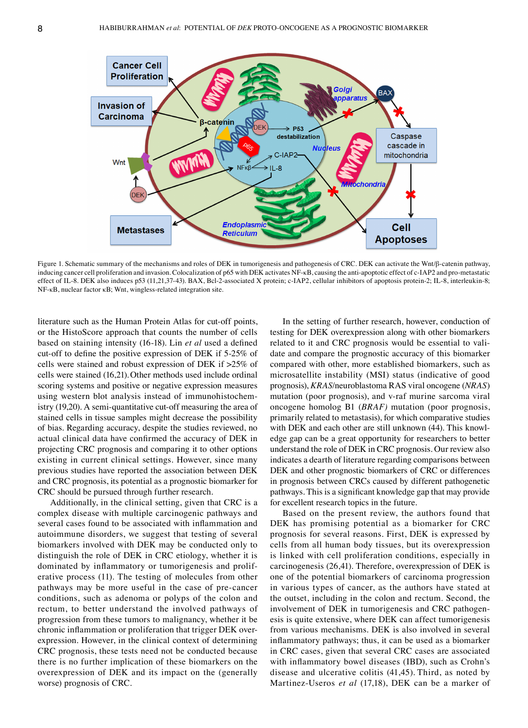

Figure 1. Schematic summary of the mechanisms and roles of DEK in tumorigenesis and pathogenesis of CRC. DEK can activate the Wnt/β‑catenin pathway, inducing cancer cell proliferation and invasion. Colocalization of p65 with DEK activates NF-kB, causing the anti-apoptotic effect of c-IAP2 and pro-metastatic effect of IL-8. DEK also induces p53 (11,21,37-43). BAX, Bcl-2-associated X protein; c-IAP2, cellular inhibitors of apoptosis protein-2; IL-8, interleukin-8; NF‑κB, nuclear factor κB; Wnt, wingless‑related integration site.

literature such as the Human Protein Atlas for cut‑off points, or the HistoScore approach that counts the number of cells based on staining intensity (16‑18). Lin *et al* used a defined cut‑off to define the positive expression of DEK if 5‑25% of cells were stained and robust expression of DEK if >25% of cells were stained (16,21). Other methods used include ordinal scoring systems and positive or negative expression measures using western blot analysis instead of immunohistochemistry (19,20). A semi‑quantitative cut‑off measuring the area of stained cells in tissue samples might decrease the possibility of bias. Regarding accuracy, despite the studies reviewed, no actual clinical data have confirmed the accuracy of DEK in projecting CRC prognosis and comparing it to other options existing in current clinical settings. However, since many previous studies have reported the association between DEK and CRC prognosis, its potential as a prognostic biomarker for CRC should be pursued through further research.

Additionally, in the clinical setting, given that CRC is a complex disease with multiple carcinogenic pathways and several cases found to be associated with inflammation and autoimmune disorders, we suggest that testing of several biomarkers involved with DEK may be conducted only to distinguish the role of DEK in CRC etiology, whether it is dominated by inflammatory or tumorigenesis and proliferative process (11). The testing of molecules from other pathways may be more useful in the case of pre‑cancer conditions, such as adenoma or polyps of the colon and rectum, to better understand the involved pathways of progression from these tumors to malignancy, whether it be chronic inflammation or proliferation that trigger DEK overexpression. However, in the clinical context of determining CRC prognosis, these tests need not be conducted because there is no further implication of these biomarkers on the overexpression of DEK and its impact on the (generally worse) prognosis of CRC.

In the setting of further research, however, conduction of testing for DEK overexpression along with other biomarkers related to it and CRC prognosis would be essential to validate and compare the prognostic accuracy of this biomarker compared with other, more established biomarkers, such as microsatellite instability (MSI) status (indicative of good prognosis), *KRAS*/neuroblastoma RAS viral oncogene (*NRAS*) mutation (poor prognosis), and v-raf murine sarcoma viral oncogene homolog B1 (*BRAF)* mutation (poor prognosis, primarily related to metastasis), for which comparative studies with DEK and each other are still unknown (44). This knowledge gap can be a great opportunity for researchers to better understand the role of DEK in CRC prognosis. Our review also indicates a dearth of literature regarding comparisons between DEK and other prognostic biomarkers of CRC or differences in prognosis between CRCs caused by different pathogenetic pathways. This is a significant knowledge gap that may provide for excellent research topics in the future.

Based on the present review, the authors found that DEK has promising potential as a biomarker for CRC prognosis for several reasons. First, DEK is expressed by cells from all human body tissues, but its overexpression is linked with cell proliferation conditions, especially in carcinogenesis (26,41). Therefore, overexpression of DEK is one of the potential biomarkers of carcinoma progression in various types of cancer, as the authors have stated at the outset, including in the colon and rectum. Second, the involvement of DEK in tumorigenesis and CRC pathogenesis is quite extensive, where DEK can affect tumorigenesis from various mechanisms. DEK is also involved in several inflammatory pathways; thus, it can be used as a biomarker in CRC cases, given that several CRC cases are associated with inflammatory bowel diseases (IBD), such as Crohn's disease and ulcerative colitis (41,45). Third, as noted by Martinez‑Useros *et al* (17,18), DEK can be a marker of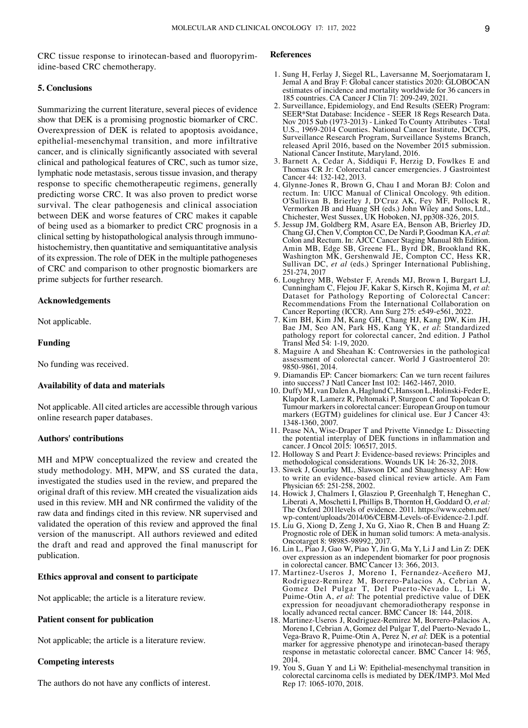CRC tissue response to irinotecan-based and fluoropyrimidine‑based CRC chemotherapy.

# **5. Conclusions**

Summarizing the current literature, several pieces of evidence show that DEK is a promising prognostic biomarker of CRC. Overexpression of DEK is related to apoptosis avoidance, epithelial‑mesenchymal transition, and more infiltrative cancer, and is clinically significantly associated with several clinical and pathological features of CRC, such as tumor size, lymphatic node metastasis, serous tissue invasion, and therapy response to specific chemotherapeutic regimens, generally predicting worse CRC. It was also proven to predict worse survival. The clear pathogenesis and clinical association between DEK and worse features of CRC makes it capable of being used as a biomarker to predict CRC prognosis in a clinical setting by histopathological analysis through immunohistochemistry, then quantitative and semiquantitative analysis of its expression. The role of DEK in the multiple pathogeneses of CRC and comparison to other prognostic biomarkers are prime subjects for further research.

# **Acknowledgements**

Not applicable.

# **Funding**

No funding was received.

## **Availability of data and materials**

Not applicable. All cited articles are accessible through various online research paper databases.

# **Authors' contributions**

MH and MPW conceptualized the review and created the study methodology. MH, MPW, and SS curated the data, investigated the studies used in the review, and prepared the original draft of this review. MH created the visualization aids used in this review. MH and NR confirmed the validity of the raw data and findings cited in this review. NR supervised and validated the operation of this review and approved the final version of the manuscript. All authors reviewed and edited the draft and read and approved the final manuscript for publication.

# **Ethics approval and consent to participate**

Not applicable; the article is a literature review.

# **Patient consent for publication**

Not applicable; the article is a literature review.

# **Competing interests**

The authors do not have any conflicts of interest.

# **References**

- 1. Sung H, Ferlay J, Siegel RL, Laversanne M, Soerjomataram I, Jemal A and Bray F: Global cancer statistics 2020: GLOBOCAN estimates of incidence and mortality worldwide for 36 cancers in 185 countries. CA Cancer J Clin 71: 209‑249, 2021.
- 2. Surveillance, Epidemiology, and End Results (SEER) Program: SEER\*Stat Database: Incidence - SEER 18 Regs Research Data. Nov 2015 Sub (1973-2013) - Linked To County Attributes - Total U.S., 1969-2014 Counties. National Cancer Institute, DCCPS, Surveillance Research Program, Surveillance Systems Branch, released April 2016, based on the November 2015 submission. National Cancer Institute, Maryland, 2016.
- 3. Barnett A, Cedar A, Siddiqui F, Herzig D, Fowlkes E and Thomas CR Jr: Colorectal cancer emergencies. J Gastrointest Cancer 44: 132‑142, 2013.
- 4. Glynne-Jones R, Brown G, Chau I and Moran BJ: Colon and rectum. In: UICC Manual of Clinical Oncology. 9th edition. O'Sullivan B, Brierley J, D'Cruz AK, Fey MF, Pollock R, Vermorken JB and Huang SH (eds.) John Wiley and Sons, Ltd., Chichester, West Sussex, UK Hoboken, NJ, pp308-326, 2015.
- 5. Jessup JM, Goldberg RM, Asare EA, Benson AB, Brierley JD, Chang GJ, Chen V, Compton CC, De Nardi P, Goodman KA, et al: Colon and Rectum. In: AJCC Cancer Staging Manual 8th Edition. Amin MB, Edge SB, Greene FL, Byrd DR, Brookland RK, Washington MK, Gershenwald JE, Compton CC, Hess KR, Sullivan DC, *et al* (eds.) Springer International Publishing, 251-274, 2017
- 6. Loughrey MB, Webster F, Arends MJ, Brown I, Burgart LJ, Dataset for Pathology Reporting of Colorectal Cancer: Recommendations From the International Collaboration on Cancer Reporting (ICCR). Ann Surg 275: e549‑e561, 2022.
- 7. Kim BH, Kim JM, Kang GH, Chang HJ, Kang DW, Kim JH, Bae JM, Seo AN, Park HS, Kang YK, *et al*: Standardized pathology report for colorectal cancer, 2nd edition. J Pathol Transl Med 54: 1‑19, 2020.
- 8. Maguire A and Sheahan K: Controversies in the pathological assessment of colorectal cancer. World J Gastroenterol 20: 9850‑9861, 2014.
- 9. Diamandis EP: Cancer biomarkers: Can we turn recent failures into success? J Natl Cancer Inst 102: 1462‑1467, 2010.
- 10. Duffy MJ, van Dalen A, Haglund C, Hansson L, Holinski-Feder E, Klapdor R, Lamerz R, Peltomaki P, Sturgeon C and Topolcan O: Tumour markers in colorectal cancer: European Group on tumour markers (EGTM) guidelines for clinical use. Eur J Cancer 43: 1348‑1360, 2007.
- 11. Pease NA, Wise‑Draper T and Privette Vinnedge L: Dissecting the potential interplay of DEK functions in inflammation and cancer. J Oncol 2015: 106517, 2015.
- 12. Holloway S and Peart J: Evidence-based reviews: Principles and methodological considerations. Wounds UK 14: 26‑32, 2018.
- 13. Siwek J, Gourlay ML, Slawson DC and Shaughnessy AF: How to write an evidence‑based clinical review article. Am Fam Physician 65: 251‑258, 2002.
- 14. Howick J, Chalmers I, Glasziou P, Greenhalgh T, Heneghan C, Liberati A, Moschetti I, Phillips B, Thornton H, Goddard O, *et al:*  The Oxford 2011levels of evidence. 2011. https://www.cebm.net/ wp-content/uploads/2014/06/CEBM-Levels-of-Evidence-2.1.pdf.
- 15. Liu G, Xiong D, Zeng J, Xu G, Xiao R, Chen B and Huang Z: Prognostic role of DEK in human solid tumors: A meta-analysis. Oncotarget 8: 98985‑98992, 2017.
- 16. Lin L, Piao J, Gao W, Piao Y, Jin G, Ma Y, Li J and Lin Z: DEK over expression as an independent biomarker for poor prognosis in colorectal cancer. BMC Cancer 13: 366, 2013.
- 17. Martinez‑Useros J, Moreno I, Fernandez‑Aceñero MJ, Rodriguez‑Remirez M, Borrero‑Palacios A, Cebrian A, Gomez Del Pulgar T, Del Puerto‑Nevado L, Li W, Puime‑Otin A, *et al*: The potential predictive value of DEK expression for neoadjuvant chemoradiotherapy response in locally advanced rectal cancer. BMC Cancer 18: 144, 2018.
- 18. Martinez‑Useros J, Rodriguez‑Remirez M, Borrero‑Palacios A, Moreno I, Cebrian A, Gomez del Pulgar T, del Puerto‑Nevado L, Vega‑Bravo R, Puime‑Otin A, Perez N, *et al*: DEK is a potential marker for aggressive phenotype and irinotecan-based therapy response in metastatic colorectal cancer. BMC Cancer 14: 965, 2014.
- 19. You S, Guan Y and Li W: Epithelial‑mesenchymal transition in colorectal carcinoma cells is mediated by DEK/IMP3. Mol Med Rep 17: 1065‑1070, 2018.